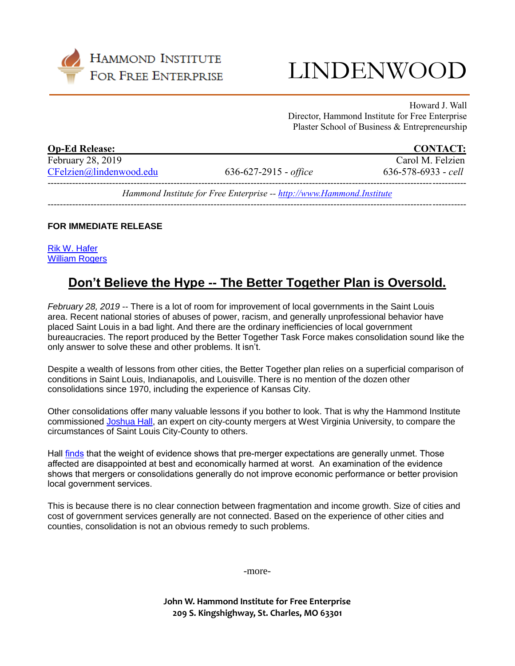

## LINDENWOOD

Howard J. Wall Director, Hammond Institute for Free Enterprise Plaster School of Business & Entrepreneurship

| <b>Op-Ed Release:</b>   |                                                                       | <b>CONTACT:</b>           |
|-------------------------|-----------------------------------------------------------------------|---------------------------|
| February 28, 2019       |                                                                       | Carol M. Felzien          |
| CFelzien@lindenwood.edu | $636-627-2915$ - office                                               | $636 - 578 - 6933 -$ cell |
|                         | Hammond Institute for Free Enterprise -- http://www.Hammond.Institute |                           |

## **FOR IMMEDIATE RELEASE**

[Rik W. Hafer](http://www.lindenwood.edu/academics/centers-institutes/the-hammond-institute/center-for-economics-and-the-environment/director/) [William Rogers](https://www.hammondinstitute.org/william-rogers)

## **Don't Believe the Hype -- The Better Together Plan is Oversold.**

*February 28, 2019* -- There is a lot of room for improvement of local governments in the Saint Louis area. Recent national stories of abuses of power, racism, and generally unprofessional behavior have placed Saint Louis in a bad light. And there are the ordinary inefficiencies of local government bureaucracies. The report produced by the Better Together Task Force makes consolidation sound like the only answer to solve these and other problems. It isn't.

Despite a wealth of lessons from other cities, the Better Together plan relies on a superficial comparison of conditions in Saint Louis, Indianapolis, and Louisville. There is no mention of the dozen other consolidations since 1970, including the experience of Kansas City.

Other consolidations offer many valuable lessons if you bother to look. That is why the Hammond Institute commissioned [Joshua Hall,](https://business.wvu.edu/faculty-staff/directory/profile?pid=222) an expert on city-county mergers at West Virginia University, to compare the circumstances of Saint Louis City-County to others.

Hall [finds](https://docs.wixstatic.com/ugd/b835d2_bff5207906b34e8e9ff7a02aef8d0d8d.pdf) that the weight of evidence shows that pre-merger expectations are generally unmet. Those affected are disappointed at best and economically harmed at worst. An examination of the evidence shows that mergers or consolidations generally do not improve economic performance or better provision local government services.

This is because there is no clear connection between fragmentation and income growth. Size of cities and cost of government services generally are not connected. Based on the experience of other cities and counties, consolidation is not an obvious remedy to such problems.

-more-

**John W. Hammond Institute for Free Enterprise 209 S. Kingshighway, St. Charles, MO 63301**